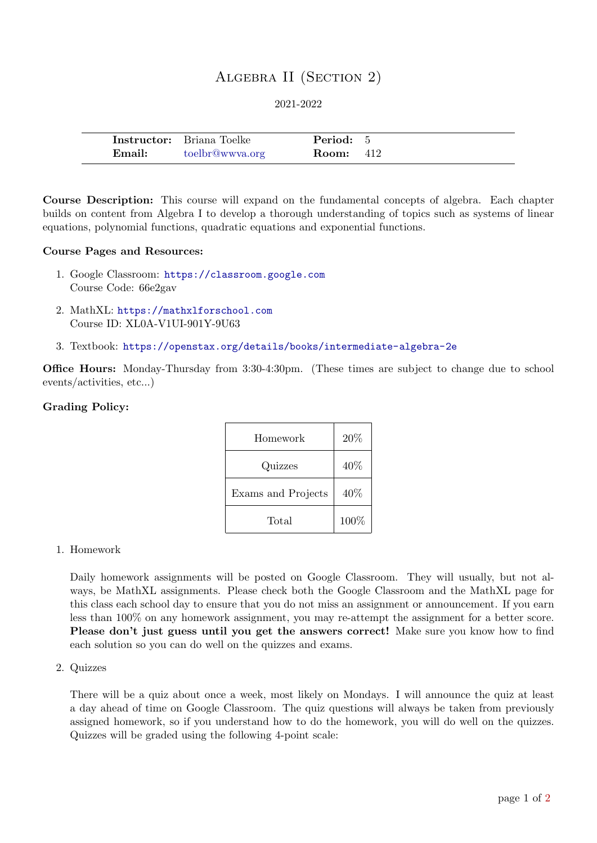# Algebra II (Section 2)

2021-2022

|        | <b>Instructor:</b> Briana Toelke | Period: 5        |  |
|--------|----------------------------------|------------------|--|
| Email: | toelbr@wwya.org                  | <b>Room:</b> 412 |  |

Course Description: This course will expand on the fundamental concepts of algebra. Each chapter builds on content from Algebra I to develop a thorough understanding of topics such as systems of linear equations, polynomial functions, quadratic equations and exponential functions.

### Course Pages and Resources:

- 1. Google Classroom: <https://classroom.google.com> Course Code: 66e2gav
- 2. MathXL: <https://mathxlforschool.com> Course ID: XL0A-V1UI-901Y-9U63
- 3. Textbook: <https://openstax.org/details/books/intermediate-algebra-2e>

Office Hours: Monday-Thursday from 3:30-4:30pm. (These times are subject to change due to school events/activities, etc...)

### Grading Policy:

| Homework           | 20%    |
|--------------------|--------|
| Quizzes            | 40\%   |
| Exams and Projects | $40\%$ |
| Total              | 100%   |

### 1. Homework

Daily homework assignments will be posted on Google Classroom. They will usually, but not always, be MathXL assignments. Please check both the Google Classroom and the MathXL page for this class each school day to ensure that you do not miss an assignment or announcement. If you earn less than 100% on any homework assignment, you may re-attempt the assignment for a better score. Please don't just guess until you get the answers correct! Make sure you know how to find each solution so you can do well on the quizzes and exams.

2. Quizzes

There will be a quiz about once a week, most likely on Mondays. I will announce the quiz at least a day ahead of time on Google Classroom. The quiz questions will always be taken from previously assigned homework, so if you understand how to do the homework, you will do well on the quizzes. Quizzes will be graded using the following 4-point scale: